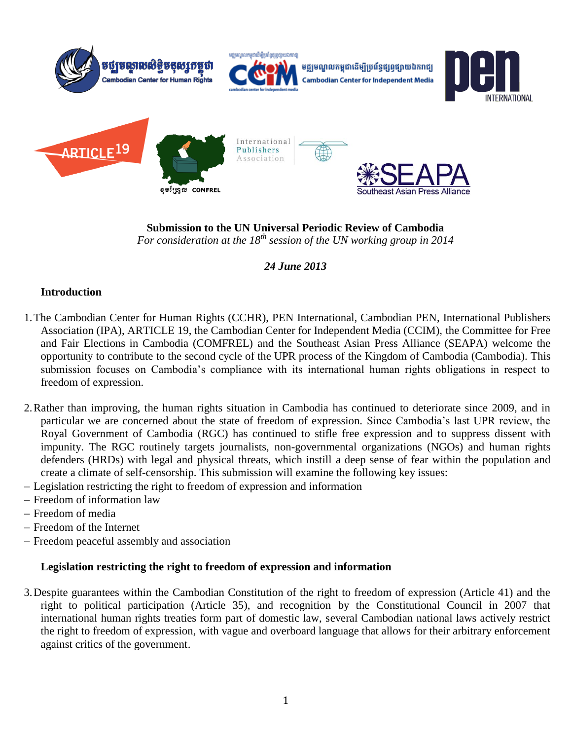

**Submission to the UN Universal Periodic Review of Cambodia** *For consideration at the 18th session of the UN working group in 2014*

*24 June 2013*

# **Introduction**

- 1.The Cambodian Center for Human Rights (CCHR), PEN International, Cambodian PEN, International Publishers Association (IPA), ARTICLE 19, the Cambodian Center for Independent Media (CCIM), the Committee for Free and Fair Elections in Cambodia (COMFREL) and the Southeast Asian Press Alliance (SEAPA) welcome the opportunity to contribute to the second cycle of the UPR process of the Kingdom of Cambodia (Cambodia). This submission focuses on Cambodia's compliance with its international human rights obligations in respect to freedom of expression.
- 2.Rather than improving, the human rights situation in Cambodia has continued to deteriorate since 2009, and in particular we are concerned about the state of freedom of expression. Since Cambodia's last UPR review, the Royal Government of Cambodia (RGC) has continued to stifle free expression and to suppress dissent with impunity. The RGC routinely targets journalists, non-governmental organizations (NGOs) and human rights defenders (HRDs) with legal and physical threats, which instill a deep sense of fear within the population and create a climate of self-censorship. This submission will examine the following key issues:
- Legislation restricting the right to freedom of expression and information
- Freedom of information law
- Freedom of media
- Freedom of the Internet
- Freedom peaceful assembly and association

# **Legislation restricting the right to freedom of expression and information**

3.Despite guarantees within the Cambodian Constitution of the right to freedom of expression (Article 41) and the right to political participation (Article 35), and recognition by the Constitutional Council in 2007 that international human rights treaties form part of domestic law, several Cambodian national laws actively restrict the right to freedom of expression, with vague and overboard language that allows for their arbitrary enforcement against critics of the government.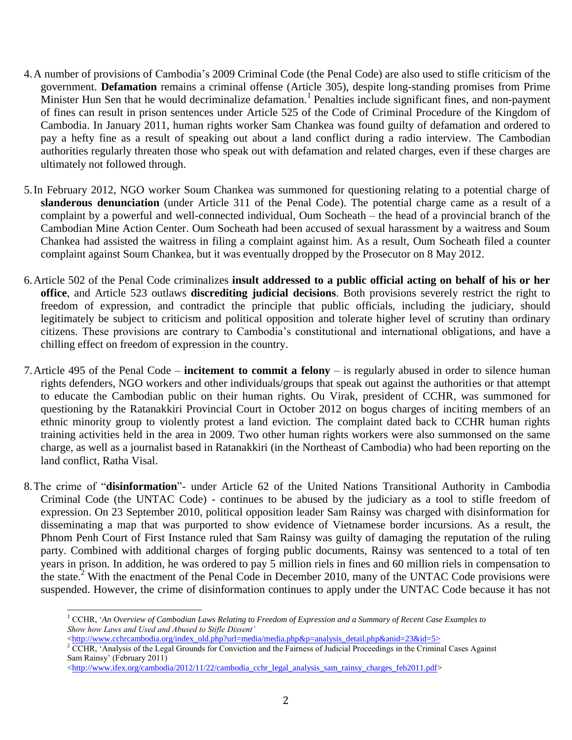- 4.A number of provisions of Cambodia's 2009 Criminal Code (the Penal Code) are also used to stifle criticism of the government. **Defamation** remains a criminal offense (Article 305), despite long-standing promises from Prime Minister Hun Sen that he would decriminalize defamation.<sup>1</sup> Penalties include significant fines, and non-payment of fines can result in prison sentences under Article 525 of the Code of Criminal Procedure of the Kingdom of Cambodia. In January 2011, human rights worker Sam Chankea was found guilty of defamation and ordered to pay a hefty fine as a result of speaking out about a land conflict during a radio interview. The Cambodian authorities regularly threaten those who speak out with defamation and related charges, even if these charges are ultimately not followed through.
- 5.In February 2012, NGO worker Soum Chankea was summoned for questioning relating to a potential charge of **slanderous denunciation** (under Article 311 of the Penal Code). The potential charge came as a result of a complaint by a powerful and well-connected individual, Oum Socheath – the head of a provincial branch of the Cambodian Mine Action Center. Oum Socheath had been accused of sexual harassment by a waitress and Soum Chankea had assisted the waitress in filing a complaint against him. As a result, Oum Socheath filed a counter complaint against Soum Chankea, but it was eventually dropped by the Prosecutor on 8 May 2012.
- 6.Article 502 of the Penal Code criminalizes **insult addressed to a public official acting on behalf of his or her office**, and Article 523 outlaws **discrediting judicial decisions**. Both provisions severely restrict the right to freedom of expression, and contradict the principle that public officials, including the judiciary, should legitimately be subject to criticism and political opposition and tolerate higher level of scrutiny than ordinary citizens. These provisions are contrary to Cambodia's constitutional and international obligations, and have a chilling effect on freedom of expression in the country.
- 7.Article 495 of the Penal Code **incitement to commit a felony** is regularly abused in order to silence human rights defenders, NGO workers and other individuals/groups that speak out against the authorities or that attempt to educate the Cambodian public on their human rights. Ou Virak, president of CCHR, was summoned for questioning by the Ratanakkiri Provincial Court in October 2012 on bogus charges of inciting members of an ethnic minority group to violently protest a land eviction. The complaint dated back to CCHR human rights training activities held in the area in 2009. Two other human rights workers were also summonsed on the same charge, as well as a journalist based in Ratanakkiri (in the Northeast of Cambodia) who had been reporting on the land conflict, Ratha Visal.
- 8.The crime of "**disinformation**"- under Article 62 of the United Nations Transitional Authority in Cambodia Criminal Code (the UNTAC Code) - continues to be abused by the judiciary as a tool to stifle freedom of expression. On 23 September 2010, political opposition leader Sam Rainsy was charged with disinformation for disseminating a map that was purported to show evidence of Vietnamese border incursions. As a result, the Phnom Penh Court of First Instance ruled that Sam Rainsy was guilty of damaging the reputation of the ruling party. Combined with additional charges of forging public documents, Rainsy was sentenced to a total of ten years in prison. In addition, he was ordered to pay 5 million riels in fines and 60 million riels in compensation to the state.<sup>2</sup> With the enactment of the Penal Code in December 2010, many of the UNTAC Code provisions were suspended. However, the crime of disinformation continues to apply under the UNTAC Code because it has not

[<http://www.cchrcambodia.org/index\\_old.php?url=media/media.php&p=analysis\\_detail.php&anid=23&id=5>](http://www.cchrcambodia.org/index_old.php?url=media/media.php&p=analysis_detail.php&anid=23&id=5)

 $\overline{a}$ 

<sup>2</sup> CCHR, 'Analysis of the Legal Grounds for Conviction and the Fairness of Judicial Proceedings in the Criminal Cases Against Sam Rainsy' (February 2011)

 $\langle$ http://www.ifex.org/cambodia/2012/11/22/cambodia\_cchr\_legal\_analysis\_sam\_rainsy\_charges\_feb2011.pdf>

<sup>1</sup> CCHR, '*An Overview of Cambodian Laws Relating to Freedom of Expression and a Summary of Recent Case Examples to Show how Laws and Used and Abused to Stifle Dissent'*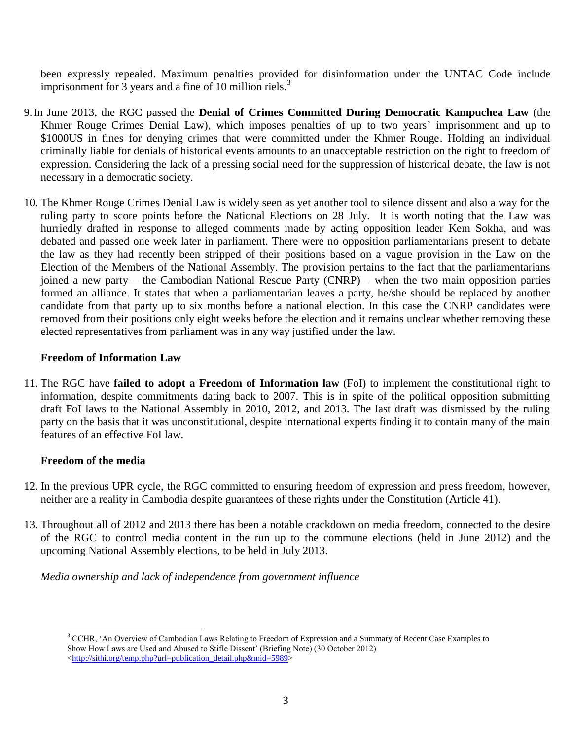been expressly repealed. Maximum penalties provided for disinformation under the UNTAC Code include imprisonment for 3 years and a fine of 10 million riels.<sup>3</sup>

- 9.In June 2013, the RGC passed the **Denial of Crimes Committed During Democratic Kampuchea Law** (the Khmer Rouge Crimes Denial Law), which imposes penalties of up to two years' imprisonment and up to \$1000US in fines for denying crimes that were committed under the Khmer Rouge. Holding an individual criminally liable for denials of historical events amounts to an unacceptable restriction on the right to freedom of expression. Considering the lack of a pressing social need for the suppression of historical debate, the law is not necessary in a democratic society.
- 10. The Khmer Rouge Crimes Denial Law is widely seen as yet another tool to silence dissent and also a way for the ruling party to score points before the National Elections on 28 July. It is worth noting that the Law was hurriedly drafted in response to alleged comments made by acting opposition leader Kem Sokha, and was debated and passed one week later in parliament. There were no opposition parliamentarians present to debate the law as they had recently been stripped of their positions based on a vague provision in the Law on the Election of the Members of the National Assembly. The provision pertains to the fact that the parliamentarians joined a new party – the Cambodian National Rescue Party (CNRP) – when the two main opposition parties formed an alliance. It states that when a parliamentarian leaves a party, he/she should be replaced by another candidate from that party up to six months before a national election. In this case the CNRP candidates were removed from their positions only eight weeks before the election and it remains unclear whether removing these elected representatives from parliament was in any way justified under the law.

### **Freedom of Information Law**

11. The RGC have **failed to adopt a Freedom of Information law** (FoI) to implement the constitutional right to information, despite commitments dating back to 2007. This is in spite of the political opposition submitting draft FoI laws to the National Assembly in 2010, 2012, and 2013. The last draft was dismissed by the ruling party on the basis that it was unconstitutional, despite international experts finding it to contain many of the main features of an effective FoI law.

# **Freedom of the media**

- 12. In the previous UPR cycle, the RGC committed to ensuring freedom of expression and press freedom, however, neither are a reality in Cambodia despite guarantees of these rights under the Constitution (Article 41).
- 13. Throughout all of 2012 and 2013 there has been a notable crackdown on media freedom, connected to the desire of the RGC to control media content in the run up to the commune elections (held in June 2012) and the upcoming National Assembly elections, to be held in July 2013.

*Media ownership and lack of independence from government influence*

 $\overline{a}$ <sup>3</sup> CCHR, 'An Overview of Cambodian Laws Relating to Freedom of Expression and a Summary of Recent Case Examples to Show How Laws are Used and Abused to Stifle Dissent' (Briefing Note) (30 October 2012) [<http://sithi.org/temp.php?url=publication\\_detail.php&mid=5989>](http://sithi.org/temp.php?url=publication_detail.php&mid=5989)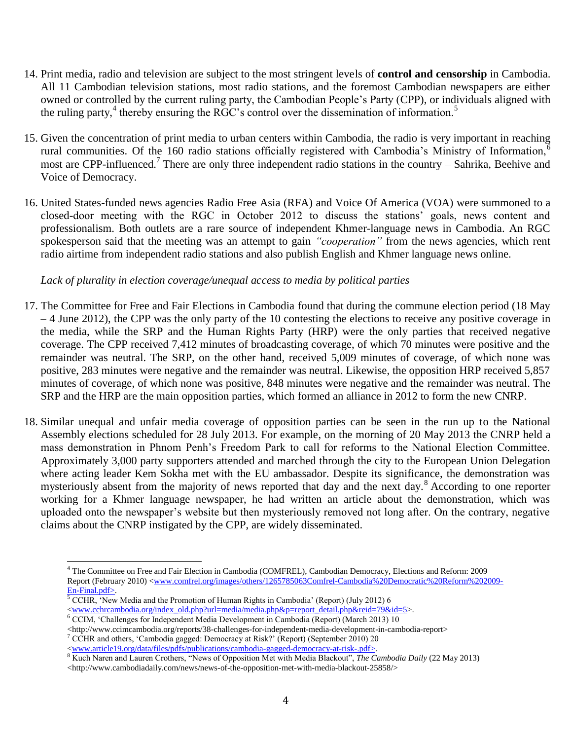- 14. Print media, radio and television are subject to the most stringent levels of **control and censorship** in Cambodia. All 11 Cambodian television stations, most radio stations, and the foremost Cambodian newspapers are either owned or controlled by the current ruling party, the Cambodian People's Party (CPP), or individuals aligned with the ruling party,<sup>4</sup> thereby ensuring the RGC's control over the dissemination of information.<sup>5</sup>
- 15. Given the concentration of print media to urban centers within Cambodia, the radio is very important in reaching rural communities. Of the 160 radio stations officially registered with Cambodia's Ministry of Information, most are CPP-influenced.<sup>7</sup> There are only three independent radio stations in the country – Sahrika, Beehive and Voice of Democracy.
- 16. United States-funded news agencies Radio Free Asia (RFA) and Voice Of America (VOA) were summoned to a closed-door meeting with the RGC in October 2012 to discuss the stations' goals, news content and professionalism. Both outlets are a rare source of independent Khmer-language news in Cambodia. An RGC spokesperson said that the meeting was an attempt to gain *"cooperation"* from the news agencies, which rent radio airtime from independent radio stations and also publish English and Khmer language news online.

### *Lack of plurality in election coverage/unequal access to media by political parties*

- 17. The Committee for Free and Fair Elections in Cambodia found that during the commune election period (18 May – 4 June 2012), the CPP was the only party of the 10 contesting the elections to receive any positive coverage in the media, while the SRP and the Human Rights Party (HRP) were the only parties that received negative coverage. The CPP received 7,412 minutes of broadcasting coverage, of which 70 minutes were positive and the remainder was neutral. The SRP, on the other hand, received 5,009 minutes of coverage, of which none was positive, 283 minutes were negative and the remainder was neutral. Likewise, the opposition HRP received 5,857 minutes of coverage, of which none was positive, 848 minutes were negative and the remainder was neutral. The SRP and the HRP are the main opposition parties, which formed an alliance in 2012 to form the new CNRP.
- 18. Similar unequal and unfair media coverage of opposition parties can be seen in the run up to the National Assembly elections scheduled for 28 July 2013. For example, on the morning of 20 May 2013 the CNRP held a mass demonstration in Phnom Penh's Freedom Park to call for reforms to the National Election Committee. Approximately 3,000 party supporters attended and marched through the city to the European Union Delegation where acting leader Kem Sokha met with the EU ambassador. Despite its significance, the demonstration was mysteriously absent from the majority of news reported that day and the next day.<sup>8</sup> According to one reporter working for a Khmer language newspaper, he had written an article about the demonstration, which was uploaded onto the newspaper's website but then mysteriously removed not long after. On the contrary, negative claims about the CNRP instigated by the CPP, are widely disseminated.

<sup>7</sup> CCHR and others, 'Cambodia gagged: Democracy at Risk?' (Report) (September 2010) 20

 $\overline{a}$ 

[<www.article19.org/data/files/pdfs/publications/cambodia-gagged-democracy-at-risk-.pdf>](http://www.article19.org/data/files/pdfs/publications/cambodia-gagged-democracy-at-risk-.pdf).

<sup>4</sup> The Committee on Free and Fair Election in Cambodia (COMFREL), Cambodian Democracy, Elections and Reform: 2009 Report (February 2010) [<www.comfrel.org/images/others/1265785063Comfrel-Cambodia%20Democratic%20Reform%202009-](http://www.comfrel.org/images/others/1265785063Comfrel-Cambodia%20Democratic%20Reform%202009-En-Final.pdf) [En-Final.pdf>](http://www.comfrel.org/images/others/1265785063Comfrel-Cambodia%20Democratic%20Reform%202009-En-Final.pdf).

 $5$  CCHR, 'New Media and the Promotion of Human Rights in Cambodia' (Report) (July 2012) 6 [<www.cchrcambodia.org/index\\_old.php?url=media/media.php&p=report\\_detail.php&reid=79&id=5>](http://www.cchrcambodia.org/index_old.php?url=media/media.php&p=report_detail.php&reid=79&id=5).

<sup>6</sup> CCIM, 'Challenges for Independent Media Development in Cambodia (Report) (March 2013) 10

<sup>&</sup>lt;http://www.ccimcambodia.org/reports/38-challenges-for-independent-media-development-in-cambodia-report>

<sup>8</sup> Kuch Naren and Lauren Crothers, "News of Opposition Met with Media Blackout", *The Cambodia Daily* (22 May 2013)

 $\langle$ http://www.cambodiadaily.com/news/news-of-the-opposition-met-with-media-blackout-25858/>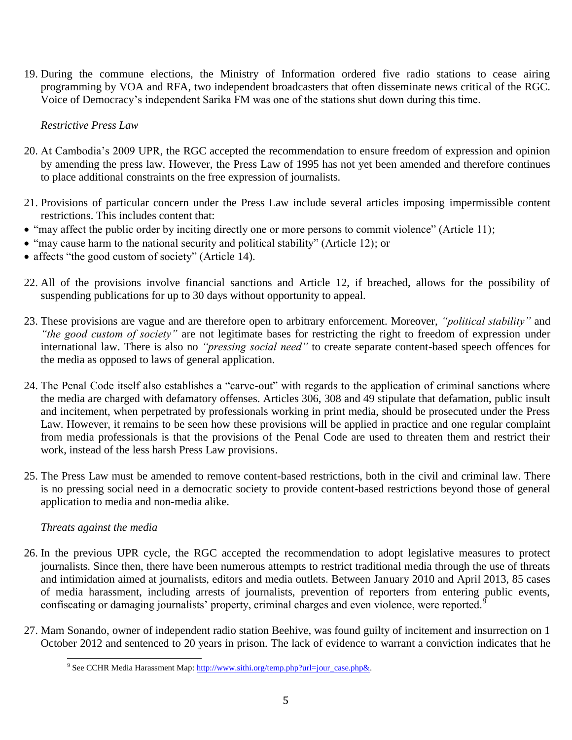19. During the commune elections, the Ministry of Information ordered five radio stations to cease airing programming by VOA and RFA, two independent broadcasters that often disseminate news critical of the RGC. Voice of Democracy's independent Sarika FM was one of the stations shut down during this time.

*Restrictive Press Law*

- 20. At Cambodia's 2009 UPR, the RGC accepted the recommendation to ensure freedom of expression and opinion by amending the press law. However, the Press Law of 1995 has not yet been amended and therefore continues to place additional constraints on the free expression of journalists.
- 21. Provisions of particular concern under the Press Law include several articles imposing impermissible content restrictions. This includes content that:
- "may affect the public order by inciting directly one or more persons to commit violence" (Article 11);
- "may cause harm to the national security and political stability" (Article 12); or
- affects "the good custom of society" (Article 14).
- 22. All of the provisions involve financial sanctions and Article 12, if breached, allows for the possibility of suspending publications for up to 30 days without opportunity to appeal.
- 23. These provisions are vague and are therefore open to arbitrary enforcement. Moreover, *"political stability"* and *"the good custom of society"* are not legitimate bases for restricting the right to freedom of expression under international law. There is also no *"pressing social need"* to create separate content-based speech offences for the media as opposed to laws of general application.
- 24. The Penal Code itself also establishes a "carve-out" with regards to the application of criminal sanctions where the media are charged with defamatory offenses. Articles 306, 308 and 49 stipulate that defamation, public insult and incitement, when perpetrated by professionals working in print media, should be prosecuted under the Press Law. However, it remains to be seen how these provisions will be applied in practice and one regular complaint from media professionals is that the provisions of the Penal Code are used to threaten them and restrict their work, instead of the less harsh Press Law provisions.
- 25. The Press Law must be amended to remove content-based restrictions, both in the civil and criminal law. There is no pressing social need in a democratic society to provide content-based restrictions beyond those of general application to media and non-media alike.

# *Threats against the media*

- 26. In the previous UPR cycle, the RGC accepted the recommendation to adopt legislative measures to protect journalists. Since then, there have been numerous attempts to restrict traditional media through the use of threats and intimidation aimed at journalists, editors and media outlets. Between January 2010 and April 2013, 85 cases of media harassment, including arrests of journalists, prevention of reporters from entering public events, confiscating or damaging journalists' property, criminal charges and even violence, were reported.<sup>9</sup>
- 27. Mam Sonando, owner of independent radio station Beehive, was found guilty of incitement and insurrection on 1 October 2012 and sentenced to 20 years in prison. The lack of evidence to warrant a conviction indicates that he

<sup>&</sup>lt;sup>9</sup> See CCHR Media Harassment Map[: http://www.sithi.org/temp.php?url=jour\\_case.php&.](http://www.sithi.org/temp.php?url=jour_case.php&)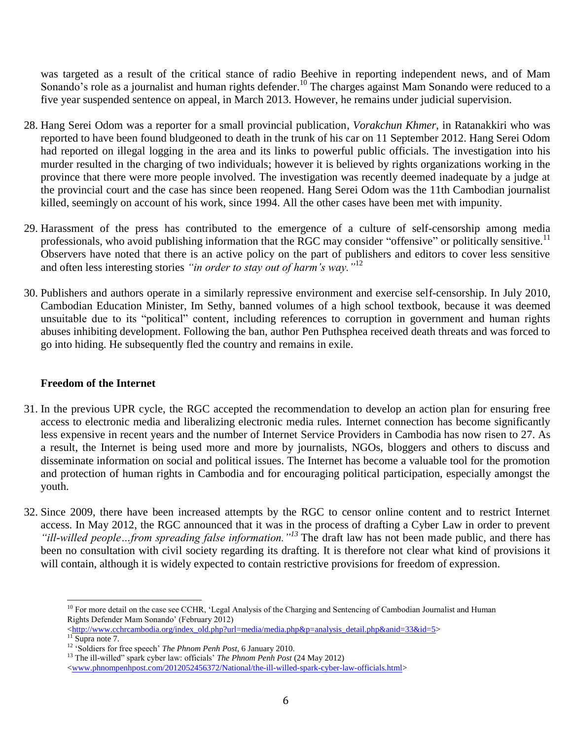was targeted as a result of the critical stance of radio Beehive in reporting independent news, and of Mam Sonando's role as a journalist and human rights defender.<sup>10</sup> The charges against Mam Sonando were reduced to a five year suspended sentence on appeal, in March 2013. However, he remains under judicial supervision.

- 28. Hang Serei Odom was a reporter for a small provincial publication, *Vorakchun Khmer*, in Ratanakkiri who was reported to have been found bludgeoned to death in the trunk of his car on 11 September 2012. Hang Serei Odom had reported on illegal logging in the area and its links to powerful public officials. The investigation into his murder resulted in the charging of two individuals; however it is believed by rights organizations working in the province that there were more people involved. The investigation was recently deemed inadequate by a judge at the provincial court and the case has since been reopened. Hang Serei Odom was the 11th Cambodian journalist killed, seemingly on account of his work, since 1994. All the other cases have been met with impunity.
- 29. Harassment of the press has contributed to the emergence of a culture of self-censorship among media professionals, who avoid publishing information that the RGC may consider "offensive" or politically sensitive.<sup>11</sup> Observers have noted that there is an active policy on the part of publishers and editors to cover less sensitive and often less interesting stories *"in order to stay out of harm's way."*<sup>12</sup>
- 30. Publishers and authors operate in a similarly repressive environment and exercise self-censorship. In July 2010, Cambodian Education Minister, Im Sethy, banned volumes of a high school textbook, because it was deemed unsuitable due to its "political" content, including references to corruption in government and human rights abuses inhibiting development. Following the ban, author Pen Puthsphea received death threats and was forced to go into hiding. He subsequently fled the country and remains in exile.

# **Freedom of the Internet**

- 31. In the previous UPR cycle, the RGC accepted the recommendation to develop an action plan for ensuring free access to electronic media and liberalizing electronic media rules. Internet connection has become significantly less expensive in recent years and the number of Internet Service Providers in Cambodia has now risen to 27. As a result, the Internet is being used more and more by journalists, NGOs, bloggers and others to discuss and disseminate information on social and political issues. The Internet has become a valuable tool for the promotion and protection of human rights in Cambodia and for encouraging political participation, especially amongst the youth.
- 32. Since 2009, there have been increased attempts by the RGC to censor online content and to restrict Internet access. In May 2012, the RGC announced that it was in the process of drafting a Cyber Law in order to prevent *"ill-willed people…from spreading false information."<sup>13</sup>* The draft law has not been made public, and there has been no consultation with civil society regarding its drafting. It is therefore not clear what kind of provisions it will contain, although it is widely expected to contain restrictive provisions for freedom of expression.

l <sup>10</sup> For more detail on the case see CCHR, 'Legal Analysis of the Charging and Sentencing of Cambodian Journalist and Human Rights Defender Mam Sonando' (February 2012)

 $\langle \frac{http://www.cchrcambodia.org/index old.php?url=media/media.php&p=analysis detail.php&anid=33&id=5>$ 

 $11$  Supra note 7.

<sup>12</sup> 'Soldiers for free speech' *The Phnom Penh Post,* 6 January 2010.

<sup>13</sup> The ill-willed" spark cyber law: officials' *The Phnom Penh Post* (24 May 2012)

[<sup>&</sup>lt;www.phnompenhpost.com/2012052456372/National/the-ill-willed-spark-cyber-law-officials.html>](http://www.phnompenhpost.com/2012052456372/National/the-ill-willed-spark-cyber-law-officials.html)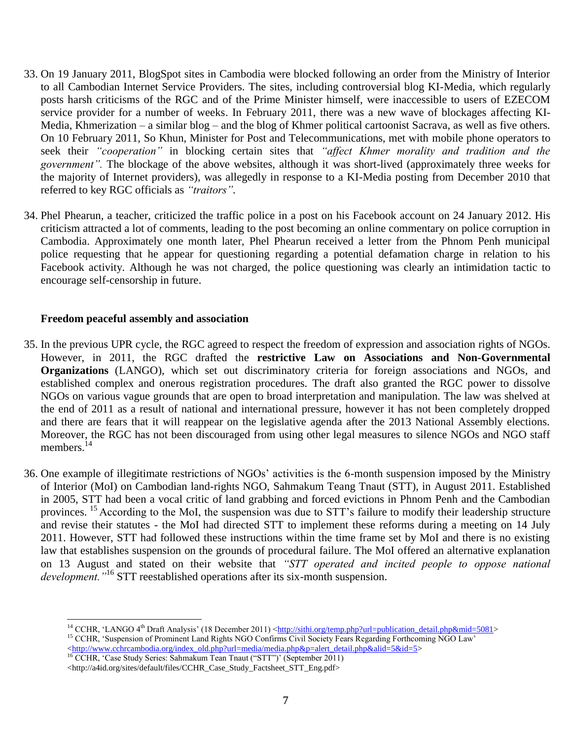- 33. On 19 January 2011, BlogSpot sites in Cambodia were blocked following an order from the Ministry of Interior to all Cambodian Internet Service Providers. The sites, including controversial blog KI-Media, which regularly posts harsh criticisms of the RGC and of the Prime Minister himself, were inaccessible to users of EZECOM service provider for a number of weeks. In February 2011, there was a new wave of blockages affecting KI-Media, Khmerization – a similar blog – and the blog of Khmer political cartoonist Sacrava, as well as five others. On 10 February 2011, So Khun, Minister for Post and Telecommunications, met with mobile phone operators to seek their *"cooperation"* in blocking certain sites that *"affect Khmer morality and tradition and the government".* The blockage of the above websites, although it was short-lived (approximately three weeks for the majority of Internet providers), was allegedly in response to a KI-Media posting from December 2010 that referred to key RGC officials as *"traitors".*
- 34. Phel Phearun, a teacher, criticized the traffic police in a post on his Facebook account on 24 January 2012. His criticism attracted a lot of comments, leading to the post becoming an online commentary on police corruption in Cambodia. Approximately one month later, Phel Phearun received a letter from the Phnom Penh municipal police requesting that he appear for questioning regarding a potential defamation charge in relation to his Facebook activity. Although he was not charged, the police questioning was clearly an intimidation tactic to encourage self-censorship in future.

#### **Freedom peaceful assembly and association**

l

- 35. In the previous UPR cycle, the RGC agreed to respect the freedom of expression and association rights of NGOs. However, in 2011, the RGC drafted the **restrictive Law on Associations and Non-Governmental Organizations** (LANGO), which set out discriminatory criteria for foreign associations and NGOs, and established complex and onerous registration procedures. The draft also granted the RGC power to dissolve NGOs on various vague grounds that are open to broad interpretation and manipulation. The law was shelved at the end of 2011 as a result of national and international pressure, however it has not been completely dropped and there are fears that it will reappear on the legislative agenda after the 2013 National Assembly elections. Moreover, the RGC has not been discouraged from using other legal measures to silence NGOs and NGO staff members.<sup>14</sup>
- 36. One example of illegitimate restrictions of NGOs' activities is the 6-month suspension imposed by the Ministry of Interior (MoI) on Cambodian land-rights NGO, Sahmakum Teang Tnaut (STT), in August 2011. Established in 2005, STT had been a vocal critic of land grabbing and forced evictions in Phnom Penh and the Cambodian provinces. <sup>15</sup> According to the MoI, the suspension was due to STT's failure to modify their leadership structure and revise their statutes - the MoI had directed STT to implement these reforms during a meeting on 14 July 2011. However, STT had followed these instructions within the time frame set by MoI and there is no existing law that establishes suspension on the grounds of procedural failure. The MoI offered an alternative explanation on 13 August and stated on their website that *"STT operated and incited people to oppose national development."*<sup>16</sup> STT reestablished operations after its six-month suspension.

<sup>16</sup> CCHR, 'Case Study Series: Sahmakum Tean Tnaut ("STT")' (September 2011)

<sup>&</sup>lt;sup>14</sup> CCHR, 'LANGO 4<sup>th</sup> Draft Analysis' (18 December 2011) < $\frac{http://sithi.org/temp.php?url=publication~~ detail.php∣=5081>$ <sup>15</sup> CCHR, 'Suspension of Prominent Land Rights NGO Confirms Civil Society Fears Regarding Forthcoming NGO Law' [<http://www.cchrcambodia.org/index\\_old.php?url=media/media.php&p=alert\\_detail.php&alid=5&id=5>](http://www.cchrcambodia.org/index_old.php?url=media/media.php&p=alert_detail.php&alid=5&id=5)

<sup>&</sup>lt;http://a4id.org/sites/default/files/CCHR\_Case\_Study\_Factsheet\_STT\_Eng.pdf>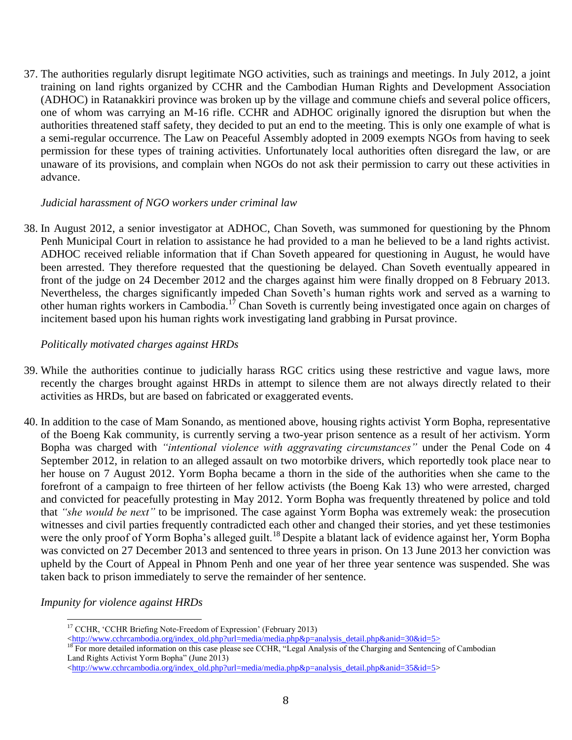37. The authorities regularly disrupt legitimate NGO activities, such as trainings and meetings. In July 2012, a joint training on land rights organized by CCHR and the Cambodian Human Rights and Development Association (ADHOC) in Ratanakkiri province was broken up by the village and commune chiefs and several police officers, one of whom was carrying an M-16 rifle. CCHR and ADHOC originally ignored the disruption but when the authorities threatened staff safety, they decided to put an end to the meeting. This is only one example of what is a semi-regular occurrence. The Law on Peaceful Assembly adopted in 2009 exempts NGOs from having to seek permission for these types of training activities. Unfortunately local authorities often disregard the law, or are unaware of its provisions, and complain when NGOs do not ask their permission to carry out these activities in advance.

### *Judicial harassment of NGO workers under criminal law*

38. In August 2012, a senior investigator at ADHOC, Chan Soveth, was summoned for questioning by the Phnom Penh Municipal Court in relation to assistance he had provided to a man he believed to be a land rights activist. ADHOC received reliable information that if Chan Soveth appeared for questioning in August, he would have been arrested. They therefore requested that the questioning be delayed. Chan Soveth eventually appeared in front of the judge on 24 December 2012 and the charges against him were finally dropped on 8 February 2013. Nevertheless, the charges significantly impeded Chan Soveth's human rights work and served as a warning to other human rights workers in Cambodia.<sup>17</sup> Chan Soveth is currently being investigated once again on charges of incitement based upon his human rights work investigating land grabbing in Pursat province.

### *Politically motivated charges against HRDs*

- 39. While the authorities continue to judicially harass RGC critics using these restrictive and vague laws, more recently the charges brought against HRDs in attempt to silence them are not always directly related to their activities as HRDs, but are based on fabricated or exaggerated events.
- 40. In addition to the case of Mam Sonando, as mentioned above, housing rights activist Yorm Bopha, representative of the Boeng Kak community, is currently serving a two-year prison sentence as a result of her activism. Yorm Bopha was charged with *"intentional violence with aggravating circumstances"* under the Penal Code on 4 September 2012, in relation to an alleged assault on two motorbike drivers, which reportedly took place near to her house on 7 August 2012. Yorm Bopha became a thorn in the side of the authorities when she came to the forefront of a campaign to free thirteen of her fellow activists (the Boeng Kak 13) who were arrested, charged and convicted for peacefully protesting in May 2012. Yorm Bopha was frequently threatened by police and told that *"she would be next"* to be imprisoned. The case against Yorm Bopha was extremely weak: the prosecution witnesses and civil parties frequently contradicted each other and changed their stories, and yet these testimonies were the only proof of Yorm Bopha's alleged guilt.<sup>18</sup> Despite a blatant lack of evidence against her, Yorm Bopha was convicted on 27 December 2013 and sentenced to three years in prison. On 13 June 2013 her conviction was upheld by the Court of Appeal in Phnom Penh and one year of her three year sentence was suspended. She was taken back to prison immediately to serve the remainder of her sentence.

# *Impunity for violence against HRDs*

l

<sup>&</sup>lt;sup>17</sup> CCHR, 'CCHR Briefing Note-Freedom of Expression' (February 2013)

 $\langle \frac{\text{http://www.cchrcambodia.org/index} \text{old.php?url=media/media.php&p=analysis\_detail.php&anid=30&id=5>}$ 

<sup>&</sup>lt;sup>18</sup> For more detailed information on this case please see CCHR, "Legal Analysis of the Charging and Sentencing of Cambodian Land Rights Activist Yorm Bopha" (June 2013)

[<sup>&</sup>lt;http://www.cchrcambodia.org/index\\_old.php?url=media/media.php&p=analysis\\_detail.php&anid=35&id=5>](http://www.cchrcambodia.org/index_old.php?url=media/media.php&p=analysis_detail.php&anid=35&id=5)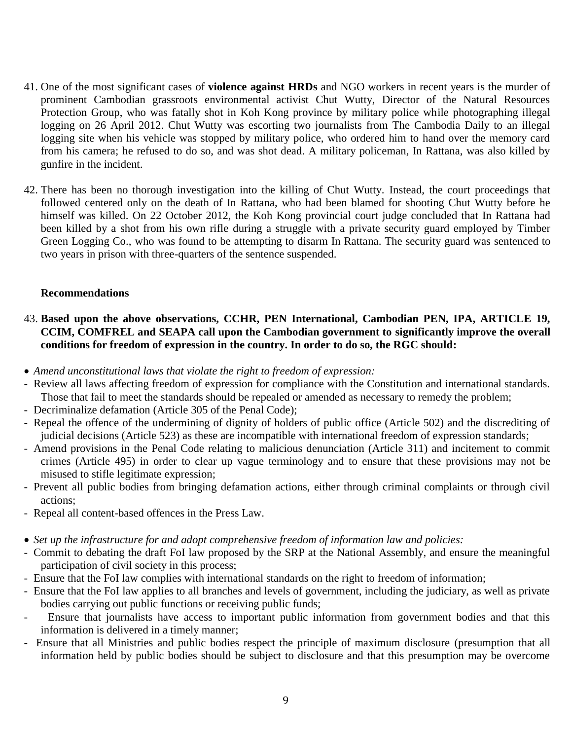- 41. One of the most significant cases of **violence against HRDs** and NGO workers in recent years is the murder of prominent Cambodian grassroots environmental activist Chut Wutty, Director of the Natural Resources Protection Group, who was fatally shot in Koh Kong province by military police while photographing illegal logging on 26 April 2012. Chut Wutty was escorting two journalists from The Cambodia Daily to an illegal logging site when his vehicle was stopped by military police, who ordered him to hand over the memory card from his camera; he refused to do so, and was shot dead. A military policeman, In Rattana, was also killed by gunfire in the incident.
- 42. There has been no thorough investigation into the killing of Chut Wutty. Instead, the court proceedings that followed centered only on the death of In Rattana, who had been blamed for shooting Chut Wutty before he himself was killed. On 22 October 2012, the Koh Kong provincial court judge concluded that In Rattana had been killed by a shot from his own rifle during a struggle with a private security guard employed by Timber Green Logging Co., who was found to be attempting to disarm In Rattana. The security guard was sentenced to two years in prison with three-quarters of the sentence suspended.

### **Recommendations**

# 43. **Based upon the above observations, CCHR, PEN International, Cambodian PEN, IPA, ARTICLE 19, CCIM, COMFREL and SEAPA call upon the Cambodian government to significantly improve the overall conditions for freedom of expression in the country. In order to do so, the RGC should:**

- *Amend unconstitutional laws that violate the right to freedom of expression:*
- Review all laws affecting freedom of expression for compliance with the Constitution and international standards. Those that fail to meet the standards should be repealed or amended as necessary to remedy the problem;
- Decriminalize defamation (Article 305 of the Penal Code);
- Repeal the offence of the undermining of dignity of holders of public office (Article 502) and the discrediting of judicial decisions (Article 523) as these are incompatible with international freedom of expression standards;
- Amend provisions in the Penal Code relating to malicious denunciation (Article 311) and incitement to commit crimes (Article 495) in order to clear up vague terminology and to ensure that these provisions may not be misused to stifle legitimate expression;
- Prevent all public bodies from bringing defamation actions, either through criminal complaints or through civil actions;
- Repeal all content-based offences in the Press Law.
- *Set up the infrastructure for and adopt comprehensive freedom of information law and policies:*
- Commit to debating the draft FoI law proposed by the SRP at the National Assembly, and ensure the meaningful participation of civil society in this process;
- Ensure that the FoI law complies with international standards on the right to freedom of information;
- Ensure that the FoI law applies to all branches and levels of government, including the judiciary, as well as private bodies carrying out public functions or receiving public funds;
- Ensure that journalists have access to important public information from government bodies and that this information is delivered in a timely manner;
- Ensure that all Ministries and public bodies respect the principle of maximum disclosure (presumption that all information held by public bodies should be subject to disclosure and that this presumption may be overcome